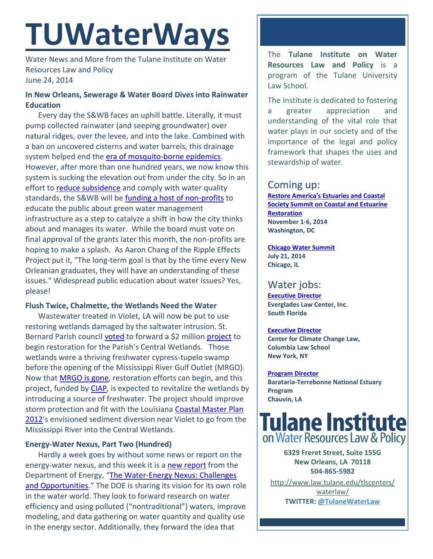# **TUWaterWays**

Water News and More from the Tulane Institute on Water Resources Law and Policy June 24, 2014

# **In New Orleans, Sewerage & Water Board Dives into Rainwater Education**

Every day the S&WB faces an uphill battle. Literally, it must pump collected rainwater (and seeping groundwater) over natural ridges, over the levee, and into the lake. Combined with a ban on uncovered cisterns and water barrels, this drainage system helped end the [era of mosquito-borne epidemics.](http://nutrias.org/facts/feverdeaths.htm) However, after more than one hundred years, we now know this system is sucking the elevation out from under the city. So in an effort to [reduce subsidence](http://livingwithwater.com/problems/) and comply with water quality standards, the S&WB will be [funding a host of non-profits](http://www.nola.com/politics/index.ssf/2014/06/overcoming_fear_of_water_in_ne.html) to educate the public about green water management infrastructure as a step to catalyze a shift in how the city thinks about and manages its water. While the board must vote on final approval of the grants later this month, the non-profits are hoping to make a splash. As Aaron Chang of the Ripple Effects Project put it, "The long-term goal is that by the time every New Orleanian graduates, they will have an understanding of these issues." Widespread public education about water issues? Yes, please!

## **Flush Twice, Chalmette, the Wetlands Need the Water**

Wastewater treated in Violet, LA will now be put to use restoring wetlands damaged by the saltwater intrusion. St. Bernard Parish council [voted](http://www.nola.com/politics/index.ssf/2014/06/st_bernard_parish_wetlands_pro_1.html) to forward a \$2 million [project](http://sonris-www.dnr.state.la.us/sundown/cart_prod/cart_crm_application?pcup_num=P20120820&pline_id=13&pshow_appl_email=Y) to begin restoration for the Parish's Central Wetlands. Those wetlands were a thriving freshwater cypress-tupelo swamp before the opening of the Mississippi River Gulf Outlet (MRGO). Now that MRGO [is gone,](https://www.mrgo.gov/) restoration efforts can begin, and this project, funded by [CIAP,](http://wsfrprograms.fws.gov/Subpages/GrantPrograms/CIAP/CIAP.htm) is expected to revitalize the wetlands by introducing a source of freshwater. The project should improve storm protection and fit with the Louisiana Coastal Master Plan [2012](http://coastal.la.gov/a-common-vision/2012-coastal-master-plan/)'s envisioned sediment diversion near Violet to go from the Mississippi River into the Central Wetlands.

## **Energy-Water Nexus, Part Two (Hundred)**

Hardly a week goes by without some news or report on the energy-water nexus, and this week it is a [new report](http://www.eenews.net/assets/2014/06/18/document_pm_03.pdf) from the Department of Energy, "The Water-Energy Nexus: Challenges [and Opportunities.](http://www.circleofblue.org/Waternews_MultiMedia/Uploads/DOE_Water%20Energy%20Nexus%20Report%20June%202014.pdf)" The DOE is sharing its vision for its own role in the water world. They look to forward research on water efficiency and using polluted ("nontraditional") waters, improve modeling, and data gathering on water quantity and quality use in the energy sector. Additionally, they forward the idea that

The **Tulane Institute on Water Resources Law and Policy** is a program of the Tulane University Law School.

The Institute is dedicated to fostering a greater appreciation and understanding of the vital role that water plays in our society and of the importance of the legal and policy framework that shapes the uses and stewardship of water.

# Coming up:

**[Restore America's Estuaries and Coastal](http://r20.rs6.net/tn.jsp?f=0012iufhQITsCGpmic7Nj0W1INi8-6h80uescyOvfS_bUMX-e_StguS58p5EHh6nRgEmQNhq-IEmHfNI66r1WLUI1nmVYTd3If6B4-ZKjflPH2cZPZ528UxKk004cWieAbuKn8kMmuGt7xkzSf_c1RUYplspmEGAxwxZCHUx7hzNHc=&c=3B5vsP5Gpxft541Pxo12cjeRrFLjmc8b5erclL2Atj1KAgmybibFyw==&ch=lOjBhN14duvjTvW9T_cXNaf8o7Y3dN3YSL3BBwkYtqxDV6sYZHStiA==)  [Society Summit on Coastal and Estuarine](http://r20.rs6.net/tn.jsp?f=0012iufhQITsCGpmic7Nj0W1INi8-6h80uescyOvfS_bUMX-e_StguS58p5EHh6nRgEmQNhq-IEmHfNI66r1WLUI1nmVYTd3If6B4-ZKjflPH2cZPZ528UxKk004cWieAbuKn8kMmuGt7xkzSf_c1RUYplspmEGAxwxZCHUx7hzNHc=&c=3B5vsP5Gpxft541Pxo12cjeRrFLjmc8b5erclL2Atj1KAgmybibFyw==&ch=lOjBhN14duvjTvW9T_cXNaf8o7Y3dN3YSL3BBwkYtqxDV6sYZHStiA==)  [Restoration](http://r20.rs6.net/tn.jsp?f=0012iufhQITsCGpmic7Nj0W1INi8-6h80uescyOvfS_bUMX-e_StguS58p5EHh6nRgEmQNhq-IEmHfNI66r1WLUI1nmVYTd3If6B4-ZKjflPH2cZPZ528UxKk004cWieAbuKn8kMmuGt7xkzSf_c1RUYplspmEGAxwxZCHUx7hzNHc=&c=3B5vsP5Gpxft541Pxo12cjeRrFLjmc8b5erclL2Atj1KAgmybibFyw==&ch=lOjBhN14duvjTvW9T_cXNaf8o7Y3dN3YSL3BBwkYtqxDV6sYZHStiA==) November 1-6, 2014 Washington, DC**

#### **[Chicago Water Summit](https://www.e-wef.org/Default.aspx?TabID=1356&productId=36803764) July 21, 2014 Chicago, IL**

# Water jobs:

**[Executive Director](http://evergladeslaw.org/wp-content/uploads/2014/06/ED-job-posting.pdf) Everglades Law Center, Inc. South Florida**

## **[Executive Director](http://web.law.columbia.edu/sites/default/files/microsites/climate-change/cccl_executive_director_job_announcement_east_67404472_1.pdf)**

**Center for Climate Change Law, Columbia Law School New York, NY**

# **[Program Director](file:///C:/Users/waterlaw/Downloads/BTNEP%20Director%20Advertisement%206-11-14.pdf)**

**Barataria-Terrebonne National Estuary Program Chauvin, LA** 



**6329 Freret Street, Suite 155G New Orleans, LA 70118 504-865-5982** 

[http://www.law.tulane.edu/tlscenters/](http://www.law.tulane.edu/tlscenters/waterlaw/) [waterlaw/](http://www.law.tulane.edu/tlscenters/waterlaw/) **TWITTER[: @TulaneWaterLaw](http://www.twitter.com/TulaneWaterLaw)**